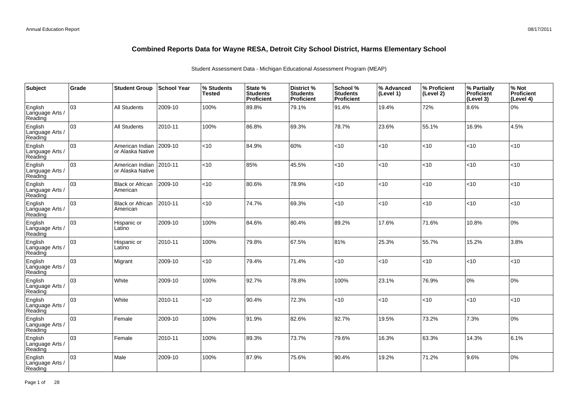| Subject                               | Grade | <b>Student Group</b>                | School Year | % Students<br><b>Tested</b> | State %<br><b>Students</b><br>Proficient | District %<br><b>Students</b><br>Proficient | School %<br><b>Students</b><br><b>Proficient</b> | % Advanced<br>(Level 1) | % Proficient<br>(Level 2) | % Partially<br>Proficient<br>(Level 3) | % Not<br>Proficient<br>(Level 4) |
|---------------------------------------|-------|-------------------------------------|-------------|-----------------------------|------------------------------------------|---------------------------------------------|--------------------------------------------------|-------------------------|---------------------------|----------------------------------------|----------------------------------|
| English<br>Language Arts /<br>Reading | 03    | <b>All Students</b>                 | 2009-10     | 100%                        | 89.8%                                    | 79.1%                                       | 91.4%                                            | 19.4%                   | 72%                       | 8.6%                                   | 0%                               |
| English<br>Language Arts /<br>Reading | 03    | <b>All Students</b>                 | 2010-11     | 100%                        | 86.8%                                    | 69.3%                                       | 78.7%                                            | 23.6%                   | 55.1%                     | 16.9%                                  | 4.5%                             |
| English<br>Language Arts /<br>Reading | 03    | American Indian<br>or Alaska Native | 2009-10     | <10                         | 84.9%                                    | 60%                                         | $<$ 10                                           | <10                     | <10                       | < 10                                   | <10                              |
| English<br>Language Arts /<br>Reading | 03    | American Indian<br>or Alaska Native | 2010-11     | $<$ 10                      | 85%                                      | 45.5%                                       | <10                                              | <10                     | <10                       | < 10                                   | <10                              |
| English<br>Language Arts /<br>Reading | 03    | <b>Black or African</b><br>American | 2009-10     | <10                         | 80.6%                                    | 78.9%                                       | < 10                                             | <10                     | $<$ 10                    | < 10                                   | <10                              |
| English<br>Language Arts /<br>Reading | 03    | <b>Black or African</b><br>American | 2010-11     | <10                         | 74.7%                                    | 69.3%                                       | <10                                              | <10                     | <10                       | < 10                                   | <10                              |
| English<br>Language Arts /<br>Reading | 03    | Hispanic or<br>Latino               | 2009-10     | 100%                        | 84.6%                                    | 80.4%                                       | 89.2%                                            | 17.6%                   | 71.6%                     | 10.8%                                  | 0%                               |
| English<br>Language Arts<br>Reading   | 03    | Hispanic or<br>Latino               | 2010-11     | 100%                        | 79.8%                                    | 67.5%                                       | 81%                                              | 25.3%                   | 55.7%                     | 15.2%                                  | 3.8%                             |
| English<br>Language Arts<br>Reading   | 03    | Migrant                             | 2009-10     | <10                         | 79.4%                                    | 71.4%                                       | < 10                                             | <10                     | $<$ 10                    | < 10                                   | $<$ 10                           |
| English<br>Language Arts<br>Reading   | 03    | White                               | 2009-10     | 100%                        | 92.7%                                    | 78.8%                                       | 100%                                             | 23.1%                   | 76.9%                     | 10%                                    | 0%                               |
| English<br>Language Arts<br>Reading   | 03    | White                               | 2010-11     | $<$ 10                      | 90.4%                                    | 72.3%                                       | <10                                              | <10                     | <10                       | < 10                                   | <10                              |
| English<br>Language Arts<br>Reading   | 03    | Female                              | 2009-10     | 100%                        | 91.9%                                    | 82.6%                                       | 92.7%                                            | 19.5%                   | 73.2%                     | 7.3%                                   | 0%                               |
| English<br>Language Arts<br>Reading   | 03    | Female                              | 2010-11     | 100%                        | 89.3%                                    | 73.7%                                       | 79.6%                                            | 16.3%                   | 63.3%                     | 14.3%                                  | 6.1%                             |
| English<br>Language Arts<br>Reading   | 03    | Male                                | 2009-10     | 100%                        | 87.9%                                    | 75.6%                                       | 90.4%                                            | 19.2%                   | 71.2%                     | 9.6%                                   | 0%                               |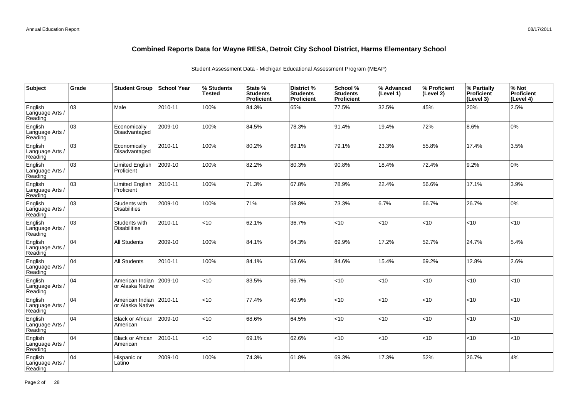| Subject                               | Grade | <b>Student Group</b>                 | <b>School Year</b> | % Students<br><b>Tested</b> | State %<br><b>Students</b><br>Proficient | <b>District %</b><br><b>Students</b><br>Proficient | School %<br><b>Students</b><br><b>Proficient</b> | % Advanced<br>(Level 1) | % Proficient<br>(Level 2) | % Partially<br><b>Proficient</b><br>(Level 3) | % Not<br>Proficient<br>(Level 4) |
|---------------------------------------|-------|--------------------------------------|--------------------|-----------------------------|------------------------------------------|----------------------------------------------------|--------------------------------------------------|-------------------------|---------------------------|-----------------------------------------------|----------------------------------|
| English<br>Language Arts /<br>Reading | 03    | Male                                 | 2010-11            | 100%                        | 84.3%                                    | 65%                                                | 77.5%                                            | 32.5%                   | 45%                       | 20%                                           | 2.5%                             |
| English<br>Language Arts /<br>Reading | lоз   | Economically<br>Disadvantaged        | 2009-10            | 100%                        | 84.5%                                    | 78.3%                                              | 91.4%                                            | 19.4%                   | 72%                       | 8.6%                                          | 10%                              |
| English<br>Language Arts /<br>Reading | 03    | Economically<br>Disadvantaged        | 2010-11            | 100%                        | 80.2%                                    | 69.1%                                              | 79.1%                                            | 23.3%                   | 55.8%                     | 17.4%                                         | 3.5%                             |
| English<br>Language Arts /<br>Reading | оз    | Limited English<br>Proficient        | 2009-10            | 100%                        | 82.2%                                    | 80.3%                                              | 90.8%                                            | 18.4%                   | 72.4%                     | 9.2%                                          | 0%                               |
| English<br>Language Arts /<br>Reading | 03    | Limited English<br>Proficient        | 2010-11            | 100%                        | 71.3%                                    | 67.8%                                              | 78.9%                                            | 22.4%                   | 56.6%                     | 17.1%                                         | 3.9%                             |
| English<br>Language Arts /<br>Reading | 03    | Students with<br><b>Disabilities</b> | 2009-10            | 100%                        | 71%                                      | 58.8%                                              | 73.3%                                            | 6.7%                    | 66.7%                     | 26.7%                                         | 0%                               |
| English<br>Language Arts /<br>Reading | 03    | Students with<br><b>Disabilities</b> | 2010-11            | <10                         | 62.1%                                    | 36.7%                                              | < 10                                             | < 10                    | <10                       | <10                                           | <10                              |
| English<br>Language Arts /<br>Reading | 104   | <b>All Students</b>                  | 2009-10            | 100%                        | 84.1%                                    | 64.3%                                              | 69.9%                                            | 17.2%                   | 52.7%                     | 24.7%                                         | 5.4%                             |
| English<br>Language Arts /<br>Reading | 104   | <b>All Students</b>                  | 2010-11            | 100%                        | 84.1%                                    | 63.6%                                              | 84.6%                                            | 15.4%                   | 69.2%                     | 12.8%                                         | 2.6%                             |
| English<br>Language Arts /<br>Reading | 04    | American Indian<br>or Alaska Native  | 2009-10            | $<$ 10                      | 83.5%                                    | 66.7%                                              | <10                                              | <10                     | <10                       | <10                                           | <10                              |
| English<br>Language Arts /<br>Reading | 104   | American Indian<br>or Alaska Native  | 2010-11            | $<$ 10                      | 77.4%                                    | 40.9%                                              | <10                                              | <10                     | <10                       | <10                                           | <10                              |
| English<br>Language Arts /<br>Reading | 04    | <b>Black or African</b><br>American  | 2009-10            | $<$ 10                      | 68.6%                                    | 64.5%                                              | <10                                              | <10                     | <10                       | <10                                           | <10                              |
| English<br>Language Arts /<br>Reading | 104   | <b>Black or African</b><br>American  | 2010-11            | <10                         | 69.1%                                    | 62.6%                                              | <10                                              | <10                     | <10                       | <10                                           | <10                              |
| English<br>Language Arts<br>Reading   | 04    | Hispanic or<br>Latino                | 2009-10            | 100%                        | 74.3%                                    | 61.8%                                              | 69.3%                                            | 17.3%                   | 52%                       | 26.7%                                         | 4%                               |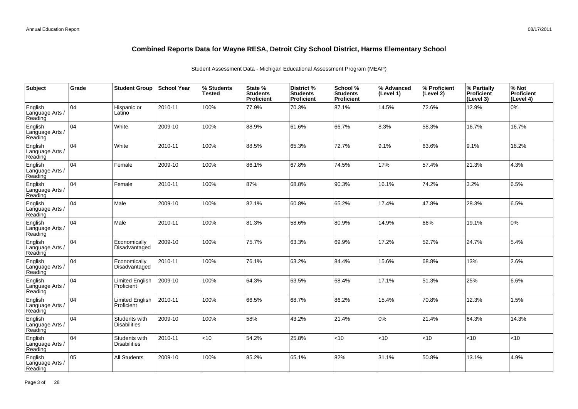| Subject                               | Grade | <b>Student Group</b>                 | ∣School Year | % Students<br><b>Tested</b> | State %<br><b>Students</b><br><b>Proficient</b> | District %<br><b>Students</b><br>Proficient | School %<br><b>Students</b><br><b>Proficient</b> | % Advanced<br>(Level 1) | % Proficient<br>(Level 2) | % Partially<br>Proficient<br>(Level 3) | % Not<br>Proficient<br>(Level 4) |
|---------------------------------------|-------|--------------------------------------|--------------|-----------------------------|-------------------------------------------------|---------------------------------------------|--------------------------------------------------|-------------------------|---------------------------|----------------------------------------|----------------------------------|
| English<br>Language Arts /<br>Reading | 04    | Hispanic or<br>Latino                | 2010-11      | 100%                        | 77.9%                                           | 70.3%                                       | 87.1%                                            | 14.5%                   | 72.6%                     | 12.9%                                  | 0%                               |
| English<br>Language Arts /<br>Reading | 04    | White                                | 2009-10      | 100%                        | 88.9%                                           | 61.6%                                       | 66.7%                                            | 8.3%                    | 58.3%                     | 16.7%                                  | 16.7%                            |
| English<br>Language Arts /<br>Reading | 04    | White                                | 2010-11      | 100%                        | 88.5%                                           | 65.3%                                       | 72.7%                                            | 9.1%                    | 63.6%                     | 9.1%                                   | 18.2%                            |
| English<br>Language Arts /<br>Reading | 04    | Female                               | 2009-10      | 100%                        | 86.1%                                           | 67.8%                                       | 74.5%                                            | 17%                     | 57.4%                     | 21.3%                                  | 4.3%                             |
| English<br>Language Arts /<br>Reading | 04    | Female                               | 2010-11      | 100%                        | 87%                                             | 68.8%                                       | 90.3%                                            | 16.1%                   | 74.2%                     | 3.2%                                   | 6.5%                             |
| English<br>Language Arts /<br>Reading | 04    | Male                                 | 2009-10      | 100%                        | 82.1%                                           | 60.8%                                       | 65.2%                                            | 17.4%                   | 47.8%                     | 28.3%                                  | 6.5%                             |
| English<br>Language Arts /<br>Reading | 04    | Male                                 | 2010-11      | 100%                        | 81.3%                                           | 58.6%                                       | 80.9%                                            | 14.9%                   | 66%                       | 19.1%                                  | 0%                               |
| English<br>Language Arts<br>Reading   | 04    | Economically<br>Disadvantaged        | 2009-10      | 100%                        | 75.7%                                           | 63.3%                                       | 69.9%                                            | 17.2%                   | 52.7%                     | 24.7%                                  | 5.4%                             |
| English<br>Language Arts /<br>Reading | 04    | Economically<br>Disadvantaged        | 2010-11      | 100%                        | 76.1%                                           | 63.2%                                       | 84.4%                                            | 15.6%                   | 68.8%                     | 13%                                    | 2.6%                             |
| English<br>Language Arts<br>Reading   | 04    | <b>Limited English</b><br>Proficient | 2009-10      | 100%                        | 64.3%                                           | 63.5%                                       | 68.4%                                            | 17.1%                   | 51.3%                     | 25%                                    | 6.6%                             |
| English<br>Language Arts<br>Reading   | 04    | <b>Limited English</b><br>Proficient | 2010-11      | 100%                        | 66.5%                                           | 68.7%                                       | 86.2%                                            | 15.4%                   | 70.8%                     | 12.3%                                  | 1.5%                             |
| English<br>Language Arts<br>Reading   | 04    | Students with<br><b>Disabilities</b> | 2009-10      | 100%                        | 58%                                             | 43.2%                                       | 21.4%                                            | $0\%$                   | 21.4%                     | 64.3%                                  | 14.3%                            |
| English<br>Language Arts<br>Reading   | 04    | Students with<br><b>Disabilities</b> | 2010-11      | $<$ 10                      | 54.2%                                           | 25.8%                                       | < 10                                             | <10                     | <10                       | < 10                                   | <10                              |
| English<br>Language Arts<br>Reading   | 05    | <b>All Students</b>                  | 2009-10      | 100%                        | 85.2%                                           | 65.1%                                       | 82%                                              | 31.1%                   | 50.8%                     | 13.1%                                  | 4.9%                             |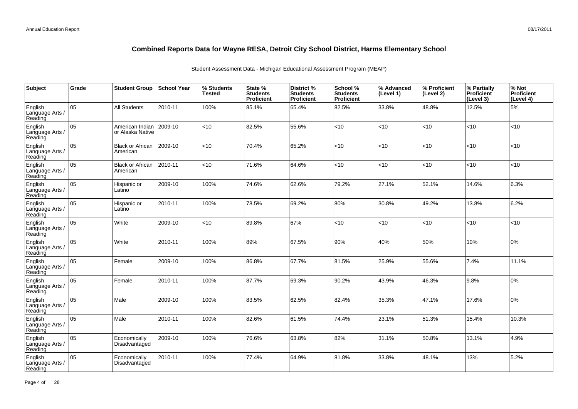| Subject                               | Grade | <b>Student Group</b>                | <b>School Year</b> | % Students<br><b>Tested</b> | State %<br><b>Students</b><br>Proficient | District %<br><b>Students</b><br>Proficient | School %<br><b>Students</b><br><b>Proficient</b> | % Advanced<br>(Level 1) | % Proficient<br>(Level 2) | % Partially<br>Proficient<br>(Level 3) | % Not<br>Proficient<br>(Level 4) |
|---------------------------------------|-------|-------------------------------------|--------------------|-----------------------------|------------------------------------------|---------------------------------------------|--------------------------------------------------|-------------------------|---------------------------|----------------------------------------|----------------------------------|
| English<br>Language Arts /<br>Reading | 05    | All Students                        | 2010-11            | 100%                        | 85.1%                                    | 65.4%                                       | 82.5%                                            | 33.8%                   | 48.8%                     | 12.5%                                  | 5%                               |
| English<br>Language Arts /<br>Reading | 05    | American Indian<br>or Alaska Native | 2009-10            | <10                         | 82.5%                                    | 55.6%                                       | <10                                              | <10                     | <10                       | <10                                    | <10                              |
| English<br>Language Arts /<br>Reading | 05    | <b>Black or African</b><br>American | 2009-10            | <10                         | 70.4%                                    | 65.2%                                       | < 10                                             | < 10                    | <10                       | < 10                                   | <10                              |
| English<br>Language Arts /<br>Reading | 05    | <b>Black or African</b><br>American | 2010-11            | $<$ 10                      | 71.6%                                    | 64.6%                                       | <10                                              | <10                     | <10                       | < 10                                   | <10                              |
| English<br>Language Arts /<br>Reading | 05    | Hispanic or<br>Latino               | 2009-10            | 100%                        | 74.6%                                    | 62.6%                                       | 79.2%                                            | 27.1%                   | 52.1%                     | 14.6%                                  | 6.3%                             |
| English<br>Language Arts /<br>Reading | 05    | Hispanic or<br>Latino               | 2010-11            | 100%                        | 78.5%                                    | 69.2%                                       | 80%                                              | 30.8%                   | 49.2%                     | 13.8%                                  | 6.2%                             |
| English<br>Language Arts /<br>Reading | 05    | White                               | 2009-10            | <10                         | 89.8%                                    | 67%                                         | < 10                                             | <10                     | <10                       | < 10                                   | <10                              |
| English<br>Language Arts<br>Reading   | 05    | White                               | 2010-11            | 100%                        | 89%                                      | 67.5%                                       | 90%                                              | 40%                     | 50%                       | 10%                                    | 0%                               |
| English<br>Language Arts<br>Reading   | 05    | Female                              | 2009-10            | 100%                        | 86.8%                                    | 67.7%                                       | 81.5%                                            | 25.9%                   | 55.6%                     | 7.4%                                   | 11.1%                            |
| English<br>Language Arts<br>Reading   | 05    | Female                              | 2010-11            | 100%                        | 87.7%                                    | 69.3%                                       | 90.2%                                            | 43.9%                   | 46.3%                     | 9.8%                                   | 0%                               |
| English<br>Language Arts<br>Reading   | lo5   | Male                                | 2009-10            | 100%                        | 83.5%                                    | 62.5%                                       | 82.4%                                            | 35.3%                   | 47.1%                     | 17.6%                                  | 0%                               |
| English<br>Language Arts<br>Reading   | 05    | Male                                | 2010-11            | 100%                        | 82.6%                                    | 61.5%                                       | 74.4%                                            | 23.1%                   | 51.3%                     | 15.4%                                  | 10.3%                            |
| English<br>Language Arts<br>Reading   | 05    | Economically<br>Disadvantaged       | 2009-10            | 100%                        | 76.6%                                    | 63.8%                                       | 82%                                              | 31.1%                   | 50.8%                     | 13.1%                                  | 4.9%                             |
| English<br>Language Arts<br>Reading   | 05    | Economically<br>Disadvantaged       | 2010-11            | 100%                        | 77.4%                                    | 64.9%                                       | 81.8%                                            | 33.8%                   | 48.1%                     | 13%                                    | 5.2%                             |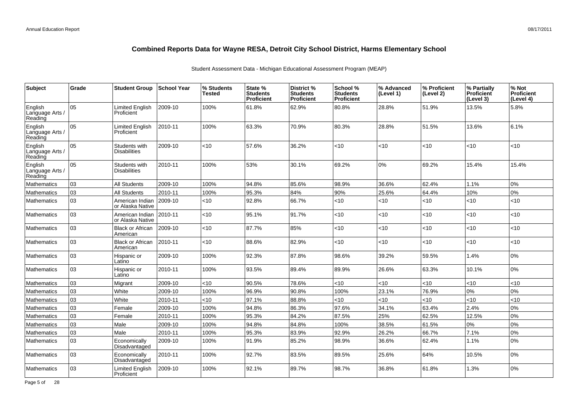| <b>Subject</b>                        | Grade | <b>Student Group</b>                 | <b>School Year</b> | % Students<br><b>Tested</b> | State %<br><b>Students</b><br>Proficient | District %<br><b>Students</b><br><b>Proficient</b> | School %<br><b>Students</b><br><b>Proficient</b> | % Advanced<br>(Level 1) | % Proficient<br>(Level 2) | % Partially<br><b>Proficient</b><br>(Level 3) | % Not<br><b>Proficient</b><br>(Level 4) |
|---------------------------------------|-------|--------------------------------------|--------------------|-----------------------------|------------------------------------------|----------------------------------------------------|--------------------------------------------------|-------------------------|---------------------------|-----------------------------------------------|-----------------------------------------|
| English<br>Language Arts /<br>Reading | 05    | <b>Limited English</b><br>Proficient | 2009-10            | 100%                        | 61.8%                                    | 62.9%                                              | 80.8%                                            | 28.8%                   | 51.9%                     | 13.5%                                         | 5.8%                                    |
| English<br>Language Arts /<br>Reading | 05    | <b>Limited English</b><br>Proficient | 2010-11            | 100%                        | 63.3%                                    | 70.9%                                              | 80.3%                                            | 28.8%                   | 51.5%                     | 13.6%                                         | 6.1%                                    |
| English<br>Language Arts /<br>Reading | 05    | Students with<br><b>Disabilities</b> | 2009-10            | < 10                        | 57.6%                                    | 36.2%                                              | $<$ 10                                           | < 10                    | <10                       | < 10                                          | <10                                     |
| English<br>Language Arts /<br>Reading | 05    | Students with<br><b>Disabilities</b> | 2010-11            | 100%                        | 53%                                      | 30.1%                                              | 69.2%                                            | 0%                      | 69.2%                     | 15.4%                                         | 15.4%                                   |
| <b>Mathematics</b>                    | 03    | <b>All Students</b>                  | 2009-10            | 100%                        | 94.8%                                    | 85.6%                                              | 98.9%                                            | 36.6%                   | 62.4%                     | 1.1%                                          | 0%                                      |
| <b>Mathematics</b>                    | 03    | All Students                         | 2010-11            | 100%                        | 95.3%                                    | 84%                                                | 90%                                              | 25.6%                   | 64.4%                     | 10%                                           | 0%                                      |
| <b>Mathematics</b>                    | 03    | American Indian<br>or Alaska Native  | 2009-10            | < 10                        | 92.8%                                    | 66.7%                                              | <10                                              | < 10                    | <10                       | < 10                                          | <10                                     |
| <b>Mathematics</b>                    | 03    | American Indian<br>or Alaska Native  | 2010-11            | <10                         | 95.1%                                    | 91.7%                                              | $<$ 10                                           | < 10                    | <10                       | <10                                           | <10                                     |
| <b>Mathematics</b>                    | 03    | <b>Black or African</b><br>American  | 2009-10            | <10                         | 87.7%                                    | 85%                                                | $<$ 10                                           | < 10                    | <10                       | < 10                                          | <10                                     |
| <b>Mathematics</b>                    | 03    | <b>Black or African</b><br>American  | 2010-11            | $<$ 10                      | 88.6%                                    | 82.9%                                              | $<$ 10                                           | < 10                    | <10                       | <10                                           | <10                                     |
| <b>Mathematics</b>                    | 03    | Hispanic or<br>Latino                | 2009-10            | 100%                        | 92.3%                                    | 87.8%                                              | 98.6%                                            | 39.2%                   | 59.5%                     | 1.4%                                          | 0%                                      |
| <b>Mathematics</b>                    | 03    | Hispanic or<br>Latino                | 2010-11            | 100%                        | 93.5%                                    | 89.4%                                              | 89.9%                                            | 26.6%                   | 63.3%                     | 10.1%                                         | 0%                                      |
| <b>Mathematics</b>                    | 03    | Migrant                              | 2009-10            | $<10$                       | 90.5%                                    | 78.6%                                              | <10                                              | < 10                    | <10                       | < 10                                          | <10                                     |
| <b>Mathematics</b>                    | 03    | White                                | 2009-10            | 100%                        | 96.9%                                    | 90.8%                                              | 100%                                             | 23.1%                   | 76.9%                     | 0%                                            | 0%                                      |
| <b>Mathematics</b>                    | 03    | White                                | 2010-11            | <10                         | 97.1%                                    | 88.8%                                              | <10                                              | <10                     | <10                       | <10                                           | <10                                     |
| Mathematics                           | 03    | Female                               | 2009-10            | 100%                        | 94.8%                                    | 86.3%                                              | 97.6%                                            | 34.1%                   | 63.4%                     | 2.4%                                          | 0%                                      |
| <b>Mathematics</b>                    | 03    | Female                               | 2010-11            | 100%                        | 95.3%                                    | 84.2%                                              | 87.5%                                            | 25%                     | 62.5%                     | 12.5%                                         | 0%                                      |
| Mathematics                           | 03    | Male                                 | 2009-10            | 100%                        | 94.8%                                    | 84.8%                                              | 100%                                             | 38.5%                   | 61.5%                     | 0%                                            | 0%                                      |
| <b>Mathematics</b>                    | 03    | Male                                 | 2010-11            | 100%                        | 95.3%                                    | 83.9%                                              | 92.9%                                            | 26.2%                   | 66.7%                     | 7.1%                                          | 0%                                      |
| <b>Mathematics</b>                    | 03    | Economically<br>Disadvantaged        | 2009-10            | 100%                        | 91.9%                                    | 85.2%                                              | 98.9%                                            | 36.6%                   | 62.4%                     | 1.1%                                          | 0%                                      |
| Mathematics                           | 03    | Economically<br>Disadvantaged        | 2010-11            | 100%                        | 92.7%                                    | 83.5%                                              | 89.5%                                            | 25.6%                   | 64%                       | 10.5%                                         | 0%                                      |
| <b>Mathematics</b>                    | 03    | <b>Limited English</b><br>Proficient | 2009-10            | 100%                        | 92.1%                                    | 89.7%                                              | 98.7%                                            | 36.8%                   | 61.8%                     | 1.3%                                          | 0%                                      |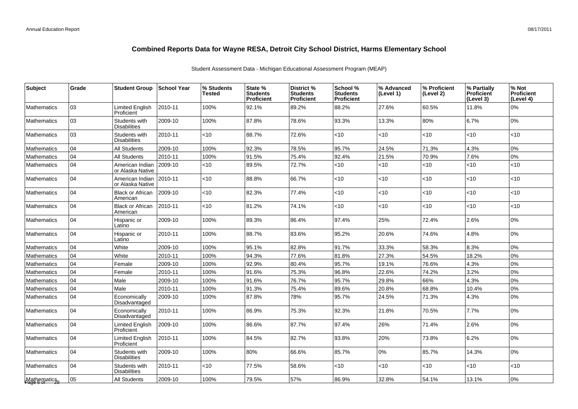| <b>Subject</b>              | Grade | <b>Student Group</b>                 | <b>School Year</b> | % Students<br>Tested | State %<br><b>Students</b><br><b>Proficient</b> | <b>District %</b><br><b>Students</b><br><b>Proficient</b> | School %<br><b>Students</b><br><b>Proficient</b> | % Advanced<br>(Level 1) | % Proficient<br>(Level 2) | % Partially<br><b>Proficient</b><br>(Level 3) | % Not<br><b>Proficient</b><br>(Level 4) |
|-----------------------------|-------|--------------------------------------|--------------------|----------------------|-------------------------------------------------|-----------------------------------------------------------|--------------------------------------------------|-------------------------|---------------------------|-----------------------------------------------|-----------------------------------------|
| <b>Mathematics</b>          | 03    | <b>Limited English</b><br>Proficient | 2010-11            | 100%                 | 92.1%                                           | 89.2%                                                     | 88.2%                                            | 27.6%                   | 60.5%                     | 11.8%                                         | 0%                                      |
| <b>Mathematics</b>          | 03    | Students with<br><b>Disabilities</b> | 2009-10            | 100%                 | 87.8%                                           | 78.6%                                                     | 93.3%                                            | 13.3%                   | 80%                       | 6.7%                                          | 0%                                      |
| <b>Mathematics</b>          | 03    | Students with<br><b>Disabilities</b> | 2010-11            | $<$ 10               | 88.7%                                           | 72.6%                                                     | < 10                                             | $<$ 10                  | $<$ 10                    | <10                                           | $<$ 10                                  |
| <b>Mathematics</b>          | 04    | <b>All Students</b>                  | 2009-10            | 100%                 | 92.3%                                           | 78.5%                                                     | 95.7%                                            | 24.5%                   | 71.3%                     | 4.3%                                          | 0%                                      |
| <b>Mathematics</b>          | 04    | <b>All Students</b>                  | 2010-11            | 100%                 | 91.5%                                           | 75.4%                                                     | 92.4%                                            | 21.5%                   | 70.9%                     | 7.6%                                          | 0%                                      |
| <b>Mathematics</b>          | 04    | American Indian<br>or Alaska Native  | 2009-10            | $<$ 10               | 89.5%                                           | 72.7%                                                     | < 10                                             | < 10                    | <10                       | <10                                           | $<$ 10                                  |
| <b>Mathematics</b>          | 04    | American Indian<br>or Alaska Native  | 2010-11            | $<$ 10               | 88.8%                                           | 66.7%                                                     | $<$ 10                                           | $<$ 10                  | $<$ 10                    | <10                                           | $<$ 10                                  |
| <b>Mathematics</b>          | 04    | <b>Black or African</b><br>American  | 2009-10            | < 10                 | 82.3%                                           | 77.4%                                                     | <10                                              | $<$ 10                  | <10                       | <10                                           | <10                                     |
| <b>Mathematics</b>          | 04    | <b>Black or African</b><br>American  | 2010-11            | <10                  | 81.2%                                           | 74.1%                                                     | <10                                              | $<$ 10                  | $<$ 10                    | <10                                           | $<$ 10                                  |
| <b>Mathematics</b>          | 04    | Hispanic or<br>Latino                | 2009-10            | 100%                 | 89.3%                                           | 86.4%                                                     | 97.4%                                            | 25%                     | 72.4%                     | 2.6%                                          | 0%                                      |
| <b>Mathematics</b>          | 04    | Hispanic or<br>Latino                | 2010-11            | 100%                 | 88.7%                                           | 83.6%                                                     | 95.2%                                            | 20.6%                   | 74.6%                     | 4.8%                                          | 0%                                      |
| <b>Mathematics</b>          | 04    | White                                | 2009-10            | 100%                 | 95.1%                                           | 82.8%                                                     | 91.7%                                            | 33.3%                   | 58.3%                     | 8.3%                                          | 0%                                      |
| Mathematics                 | 04    | White                                | 2010-11            | 100%                 | 94.3%                                           | 77.6%                                                     | 81.8%                                            | 27.3%                   | 54.5%                     | 18.2%                                         | 0%                                      |
| <b>Mathematics</b>          | 04    | Female                               | 2009-10            | 100%                 | 92.9%                                           | 80.4%                                                     | 95.7%                                            | 19.1%                   | 76.6%                     | 4.3%                                          | 0%                                      |
| <b>Mathematics</b>          | 04    | Female                               | 2010-11            | 100%                 | 91.6%                                           | 75.3%                                                     | 96.8%                                            | 22.6%                   | 74.2%                     | 3.2%                                          | 0%                                      |
| <b>Mathematics</b>          | 04    | Male                                 | 2009-10            | 100%                 | 91.6%                                           | 76.7%                                                     | 95.7%                                            | 29.8%                   | 66%                       | 4.3%                                          | $0\%$                                   |
| <b>Mathematics</b>          | 04    | Male                                 | 2010-11            | 100%                 | 91.3%                                           | 75.4%                                                     | 89.6%                                            | 20.8%                   | 68.8%                     | 10.4%                                         | 0%                                      |
| <b>Mathematics</b>          | 04    | Economically<br>Disadvantaged        | 2009-10            | 100%                 | 87.8%                                           | 78%                                                       | 95.7%                                            | 24.5%                   | 71.3%                     | 4.3%                                          | 0%                                      |
| <b>Mathematics</b>          | 04    | Economically<br>Disadvantaged        | 2010-11            | 100%                 | 86.9%                                           | 75.3%                                                     | 92.3%                                            | 21.8%                   | 70.5%                     | 7.7%                                          | 0%                                      |
| <b>Mathematics</b>          | 04    | <b>Limited English</b><br>Proficient | 2009-10            | 100%                 | 86.6%                                           | 87.7%                                                     | 97.4%                                            | 26%                     | 71.4%                     | 2.6%                                          | 0%                                      |
| <b>Mathematics</b>          | 04    | <b>Limited English</b><br>Proficient | 2010-11            | 100%                 | 84.5%                                           | 82.7%                                                     | 93.8%                                            | 20%                     | 73.8%                     | 6.2%                                          | 0%                                      |
| <b>Mathematics</b>          | 04    | Students with<br><b>Disabilities</b> | 2009-10            | 100%                 | 80%                                             | 66.6%                                                     | 85.7%                                            | 0%                      | 85.7%                     | 14.3%                                         | 0%                                      |
| <b>Mathematics</b>          | 04    | Students with<br><b>Disabilities</b> | 2010-11            | < 10                 | 77.5%                                           | 58.6%                                                     | <10                                              | <10                     | <10                       | $<$ 10                                        | <10                                     |
| Mathematics<br>Page 6 of 28 | 05    | <b>All Students</b>                  | 2009-10            | 100%                 | 79.5%                                           | 57%                                                       | 86.9%                                            | 32.8%                   | 54.1%                     | 13.1%                                         | 0%                                      |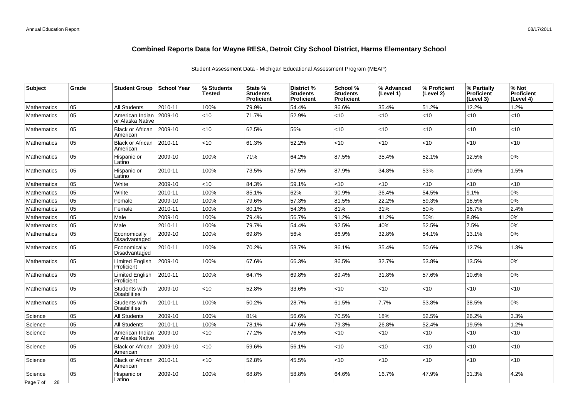| <b>Subject</b>          | Grade | <b>Student Group</b>                 | School Year | % Students<br>Tested | State %<br><b>Students</b><br>Proficient | District %<br><b>Students</b><br><b>Proficient</b> | School %<br><b>Students</b><br><b>Proficient</b> | % Advanced<br>(Level 1) | % Proficient<br>(Level 2) | % Partially<br><b>Proficient</b><br>(Level 3) | % Not<br><b>Proficient</b><br>(Level 4) |
|-------------------------|-------|--------------------------------------|-------------|----------------------|------------------------------------------|----------------------------------------------------|--------------------------------------------------|-------------------------|---------------------------|-----------------------------------------------|-----------------------------------------|
| <b>Mathematics</b>      | 05    | <b>All Students</b>                  | 2010-11     | 100%                 | 79.9%                                    | 54.4%                                              | 86.6%                                            | 35.4%                   | 51.2%                     | 12.2%                                         | 1.2%                                    |
| <b>Mathematics</b>      | 05    | American Indian<br>or Alaska Native  | $ 2009-10$  | <10                  | 71.7%                                    | 52.9%                                              | $<$ 10                                           | <10                     | $<$ 10                    | $<$ 10                                        | <10                                     |
| <b>Mathematics</b>      | 05    | <b>Black or African</b><br>American  | $ 2009-10$  | <10                  | 62.5%                                    | 56%                                                | $<$ 10                                           | $<$ 10                  | <10                       | < 10                                          | $<$ 10                                  |
| <b>Mathematics</b>      | 05    | <b>Black or African</b><br>American  | 2010-11     | $<$ 10               | 61.3%                                    | 52.2%                                              | $<$ 10                                           | <10                     | $<$ 10                    | <10                                           | <10                                     |
| <b>Mathematics</b>      | 05    | Hispanic or<br>Latino                | 2009-10     | 100%                 | 71%                                      | 64.2%                                              | 87.5%                                            | 35.4%                   | 52.1%                     | 12.5%                                         | 0%                                      |
| <b>Mathematics</b>      | 05    | Hispanic or<br>Latino                | 2010-11     | 100%                 | 73.5%                                    | 67.5%                                              | 87.9%                                            | 34.8%                   | 53%                       | 10.6%                                         | 1.5%                                    |
| <b>Mathematics</b>      | 05    | White                                | 2009-10     | <10                  | 84.3%                                    | 59.1%                                              | $<$ 10                                           | <10                     | <10                       | < 10                                          | <10                                     |
| <b>Mathematics</b>      | 05    | White                                | 2010-11     | 100%                 | 85.1%                                    | 62%                                                | 90.9%                                            | 36.4%                   | 54.5%                     | 9.1%                                          | 0%                                      |
| <b>Mathematics</b>      | 05    | Female                               | 2009-10     | 100%                 | 79.6%                                    | 57.3%                                              | 81.5%                                            | 22.2%                   | 59.3%                     | 18.5%                                         | 0%                                      |
| <b>Mathematics</b>      | 05    | Female                               | 2010-11     | 100%                 | 80.1%                                    | 54.3%                                              | 81%                                              | 31%                     | 50%                       | 16.7%                                         | 2.4%                                    |
| <b>Mathematics</b>      | 05    | Male                                 | 2009-10     | 100%                 | 79.4%                                    | 56.7%                                              | 91.2%                                            | 41.2%                   | 50%                       | 8.8%                                          | 0%                                      |
| <b>Mathematics</b>      | 05    | Male                                 | 2010-11     | 100%                 | 79.7%                                    | 54.4%                                              | 92.5%                                            | 40%                     | 52.5%                     | 7.5%                                          | 0%                                      |
| <b>Mathematics</b>      | 05    | Economically<br>Disadvantaged        | 2009-10     | 100%                 | 69.8%                                    | 56%                                                | 86.9%                                            | 32.8%                   | 54.1%                     | 13.1%                                         | 0%                                      |
| <b>Mathematics</b>      | 05    | Economically<br>Disadvantaged        | 2010-11     | 100%                 | 70.2%                                    | 53.7%                                              | 86.1%                                            | 35.4%                   | 50.6%                     | 12.7%                                         | 1.3%                                    |
| <b>Mathematics</b>      | 05    | Limited English<br>Proficient        | $ 2009-10$  | 100%                 | 67.6%                                    | 66.3%                                              | 86.5%                                            | 32.7%                   | 53.8%                     | 13.5%                                         | 0%                                      |
| <b>Mathematics</b>      | 05    | <b>Limited English</b><br>Proficient | 2010-11     | 100%                 | 64.7%                                    | 69.8%                                              | 89.4%                                            | 31.8%                   | 57.6%                     | 10.6%                                         | 0%                                      |
| <b>Mathematics</b>      | 05    | Students with<br><b>Disabilities</b> | 2009-10     | $<$ 10               | 52.8%                                    | 33.6%                                              | $<$ 10                                           | <10                     | $<$ 10                    | $<$ 10                                        | $<$ 10                                  |
| <b>Mathematics</b>      | 05    | Students with<br><b>Disabilities</b> | 2010-11     | 100%                 | 50.2%                                    | 28.7%                                              | 61.5%                                            | 7.7%                    | 53.8%                     | 38.5%                                         | 0%                                      |
| Science                 | 05    | <b>All Students</b>                  | 2009-10     | 100%                 | 81%                                      | 56.6%                                              | 70.5%                                            | 18%                     | 52.5%                     | 26.2%                                         | 3.3%                                    |
| Science                 | 05    | <b>All Students</b>                  | 2010-11     | 100%                 | 78.1%                                    | 47.6%                                              | 79.3%                                            | 26.8%                   | 52.4%                     | 19.5%                                         | 1.2%                                    |
| Science                 | 05    | American Indian<br>or Alaska Native  | $ 2009-10$  | <10                  | 77.2%                                    | 76.5%                                              | $<$ 10                                           | $<$ 10                  | $<$ 10                    | <10                                           | <10                                     |
| Science                 | 05    | <b>Black or African</b><br>American  | $ 2009-10$  | $<$ 10               | 59.6%                                    | 56.1%                                              | $<$ 10                                           | $<$ 10                  | $<$ 10                    | <10                                           | <10                                     |
| Science                 | 05    | <b>Black or African</b><br>American  | 2010-11     | <10                  | 52.8%                                    | 45.5%                                              | $<$ 10                                           | <10                     | <10                       | <10                                           | <10                                     |
| Science<br>Page 7 of 28 | 05    | Hispanic or<br>Latino                | 2009-10     | 100%                 | 68.8%                                    | 58.8%                                              | 64.6%                                            | 16.7%                   | 47.9%                     | 31.3%                                         | 4.2%                                    |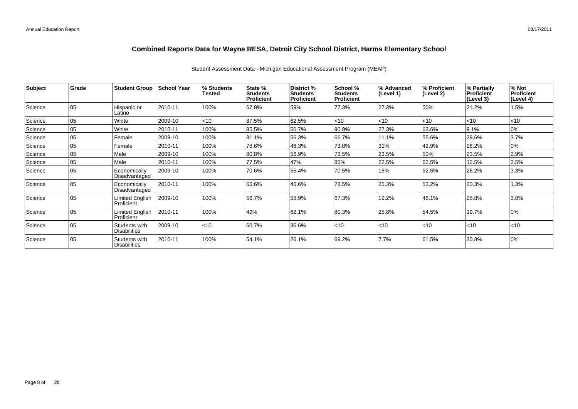Student Assessment Data - Michigan Educational Assessment Program (MEAP)

| Subject | <b>Grade</b> | <b>Student Group</b>                 | <b>School Year</b> | % Students<br>Tested | State %<br><b>Students</b><br>Proficient | District %<br><b>Students</b><br><b>Proficient</b> | School %<br><b>Students</b><br><b>Proficient</b> | % Advanced<br>(Level 1) | % Proficient<br>(Level 2) | % Partially<br>Proficient<br>(Level 3) | % Not<br>Proficient<br>(Level 4) |
|---------|--------------|--------------------------------------|--------------------|----------------------|------------------------------------------|----------------------------------------------------|--------------------------------------------------|-------------------------|---------------------------|----------------------------------------|----------------------------------|
| Science | 05           | Hispanic or<br>Latino                | 2010-11            | 100%                 | 67.8%                                    | 59%                                                | 77.3%                                            | 27.3%                   | 50%                       | 21.2%                                  | 1.5%                             |
| Science | 05           | White                                | 2009-10            | $ $ < 10             | 87.5%                                    | 62.5%                                              | $<$ 10                                           | < 10                    | $<$ 10                    | $ $ < 10                               | $<$ 10                           |
| Science | 05           | White                                | 2010-11            | 100%                 | 85.5%                                    | 56.7%                                              | 90.9%                                            | 27.3%                   | 63.6%                     | 9.1%                                   | 0%                               |
| Science | 05           | Female                               | 2009-10            | 100%                 | 81.1%                                    | 56.3%                                              | 66.7%                                            | 11.1%                   | 55.6%                     | 29.6%                                  | 3.7%                             |
| Science | 05           | Female                               | 2010-11            | 100%                 | 78.6%                                    | 48.3%                                              | 73.8%                                            | 31%                     | 42.9%                     | 26.2%                                  | 0%                               |
| Science | 05           | Male                                 | 2009-10            | 100%                 | 80.8%                                    | 56.9%                                              | 73.5%                                            | 23.5%                   | 50%                       | 23.5%                                  | 2.9%                             |
| Science | 05           | Male                                 | 2010-11            | 100%                 | 77.5%                                    | 47%                                                | 85%                                              | 22.5%                   | 62.5%                     | 12.5%                                  | 2.5%                             |
| Science | 05           | Economically<br>Disadvantaged        | 2009-10            | 100%                 | 70.6%                                    | 55.4%                                              | 70.5%                                            | 18%                     | 52.5%                     | 26.2%                                  | 3.3%                             |
| Science | 05           | Economically<br>Disadvantaged        | 2010-11            | 100%                 | 66.6%                                    | 46.6%                                              | 78.5%                                            | 25.3%                   | 53.2%                     | 20.3%                                  | 1.3%                             |
| Science | 05           | Limited English<br>Proficient        | 2009-10            | 100%                 | 56.7%                                    | 58.9%                                              | 67.3%                                            | 19.2%                   | 48.1%                     | 28.8%                                  | 3.8%                             |
| Science | 05           | Limited English<br>Proficient        | 2010-11            | 100%                 | 49%                                      | 62.1%                                              | 80.3%                                            | 25.8%                   | 54.5%                     | 19.7%                                  | 0%                               |
| Science | 05           | Students with<br><b>Disabilities</b> | 2009-10            | $ $ < 10             | 60.7%                                    | 36.6%                                              | $<$ 10                                           | < 10                    | < 10                      | $\leq 10$                              | $<$ 10                           |
| Science | 05           | Students with<br>Disabilities        | 2010-11            | 100%                 | 54.1%                                    | 26.1%                                              | 69.2%                                            | 7.7%                    | 61.5%                     | 30.8%                                  | 0%                               |

Page 8 of 28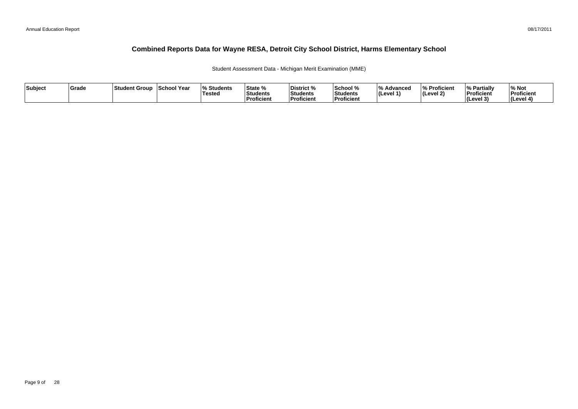Student Assessment Data - Michigan Merit Examination (MME)

| Subject | Grade | Student Group | School Year | <b>Students</b><br>Tested | State %<br>Students<br>Proficient | District %<br>Students<br><b>Proficient</b> | School %<br>Students<br>Proficient | $\overline{0}$<br>Advancec<br>$ $ (Level 1) | % Proficient<br> (Level 2) | % Partially<br>Proficient<br><b>I</b> Cevel 3<br>. . | ∕∘ Not<br>Proficient<br>(Level 4) |
|---------|-------|---------------|-------------|---------------------------|-----------------------------------|---------------------------------------------|------------------------------------|---------------------------------------------|----------------------------|------------------------------------------------------|-----------------------------------|
|---------|-------|---------------|-------------|---------------------------|-----------------------------------|---------------------------------------------|------------------------------------|---------------------------------------------|----------------------------|------------------------------------------------------|-----------------------------------|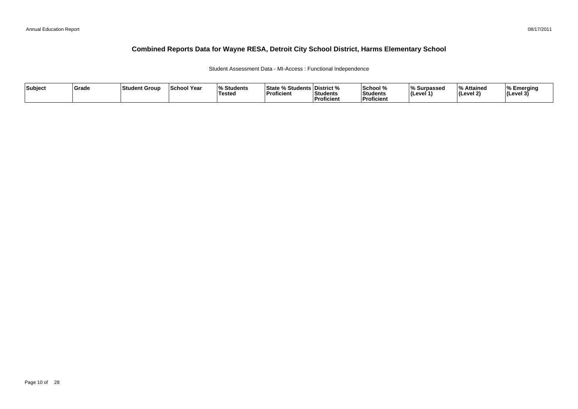Student Assessment Data - MI-Access : Functional Independence

| Subject | <b>Srade</b> | <b>Student Group</b> | <b>School Year</b> | $\Omega$<br><b>Students</b><br>Tested | <b>State % Students District %</b><br><b>Proficient</b> | <b>Students</b><br>Proficient | School %<br><b>Students</b><br><b>Proficient</b> | % Surpassed<br>(Level 1 | l 0/<br>Attained<br>(Level 2) | Emerging<br>$ $ (Level 3' |
|---------|--------------|----------------------|--------------------|---------------------------------------|---------------------------------------------------------|-------------------------------|--------------------------------------------------|-------------------------|-------------------------------|---------------------------|
|---------|--------------|----------------------|--------------------|---------------------------------------|---------------------------------------------------------|-------------------------------|--------------------------------------------------|-------------------------|-------------------------------|---------------------------|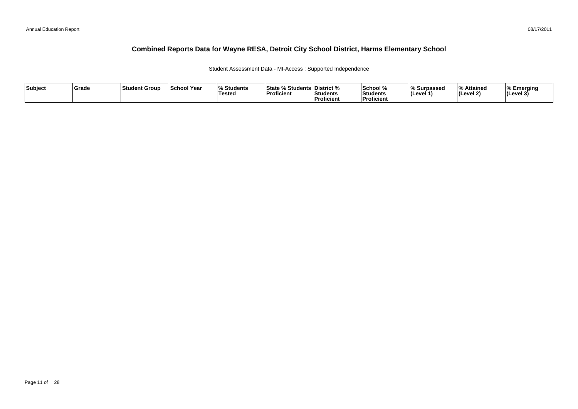Student Assessment Data - MI-Access : Supported Independence

| Subject | <b>Srade</b> | <b>Student Group</b> | <b>School Year</b> | $\Omega$<br><b>Students</b><br>Tested | <b>State % Students District %</b><br><b>Proficient</b> | <b>Students</b><br>Proficient | School %<br><b>Students</b><br><b>Proficient</b> | % Surpassed<br>(Level 1 | l 0/<br>Attained<br>(Level 2) | Emerging<br>$ $ (Level 3' |
|---------|--------------|----------------------|--------------------|---------------------------------------|---------------------------------------------------------|-------------------------------|--------------------------------------------------|-------------------------|-------------------------------|---------------------------|
|---------|--------------|----------------------|--------------------|---------------------------------------|---------------------------------------------------------|-------------------------------|--------------------------------------------------|-------------------------|-------------------------------|---------------------------|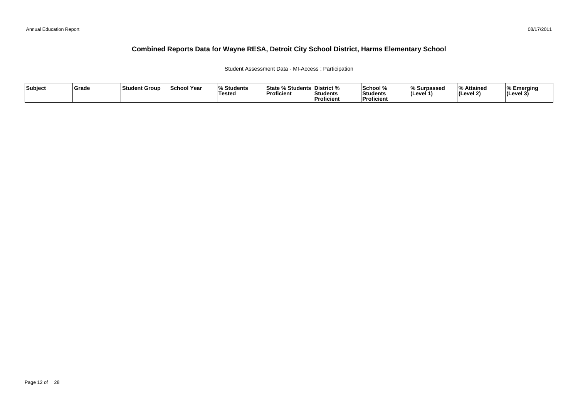#### Student Assessment Data - MI-Access : Participation

| Subject | ∣Grade | <b>Student Group</b> | ∣School Year | $\mathbf{a}$<br>Students<br>'Tested | <sup>৹⁄</sup> Students ∟<br>State<br><b>Proficient</b> | ∣District %<br>Students<br><sup>'</sup> Proficient | School %<br>Students<br><b>Proficien</b> | % Surpassed<br>∣(Level 1` | $\overline{\mathbf{0}}$<br>% Attained<br>(Level 2) | Emerging<br> (Level 3 |
|---------|--------|----------------------|--------------|-------------------------------------|--------------------------------------------------------|----------------------------------------------------|------------------------------------------|---------------------------|----------------------------------------------------|-----------------------|
|---------|--------|----------------------|--------------|-------------------------------------|--------------------------------------------------------|----------------------------------------------------|------------------------------------------|---------------------------|----------------------------------------------------|-----------------------|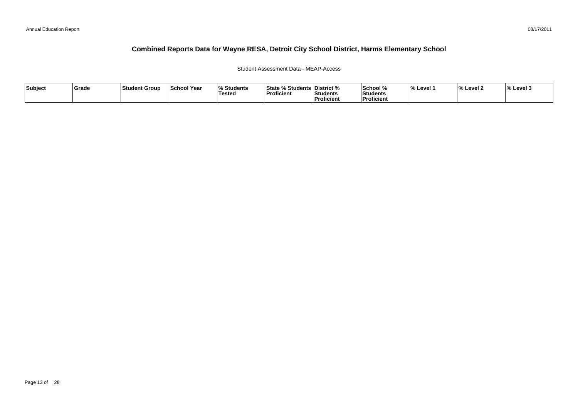#### Student Assessment Data - MEAP-Access

| Subject | ∣Grade | ∣Student Group | <b>School Year</b> | <b>Students</b><br>Testea | <b>State % Students District %</b><br> Proficient | <b>Students</b><br>. | <b>School</b> %<br>Students<br>Proficient | <b>Level</b> | $\Omega$<br>Level 2 | $\frac{1}{6}$ Level 3 |
|---------|--------|----------------|--------------------|---------------------------|---------------------------------------------------|----------------------|-------------------------------------------|--------------|---------------------|-----------------------|
|         |        |                |                    |                           |                                                   | Proficient           |                                           |              |                     |                       |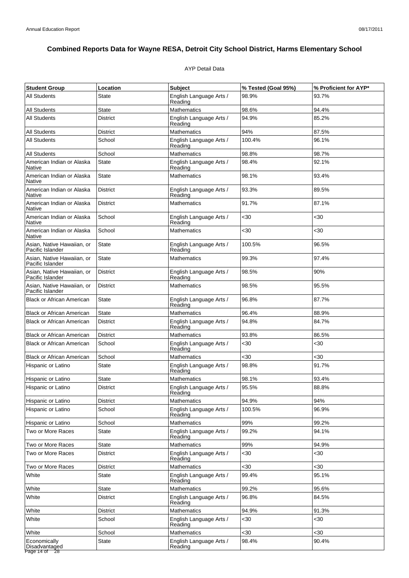### AYP Detail Data

| <b>Student Group</b>                           | Location        | <b>Subject</b>                     | % Tested (Goal 95%) | % Proficient for AYP* |
|------------------------------------------------|-----------------|------------------------------------|---------------------|-----------------------|
| <b>All Students</b>                            | State           | English Language Arts /<br>Reading | 98.9%               | 93.7%                 |
| <b>All Students</b>                            | <b>State</b>    | <b>Mathematics</b>                 | 98.6%               | 94.4%                 |
| <b>All Students</b>                            | <b>District</b> | English Language Arts /<br>Reading | 94.9%               | 85.2%                 |
| <b>All Students</b>                            | <b>District</b> | Mathematics                        | 94%                 | 87.5%                 |
| All Students                                   | School          | English Language Arts /<br>Reading | 100.4%              | 96.1%                 |
| <b>All Students</b>                            | School          | <b>Mathematics</b>                 | 98.8%               | 98.7%                 |
| American Indian or Alaska<br>Native            | State           | English Language Arts /<br>Reading | 98.4%               | 92.1%                 |
| American Indian or Alaska<br>Native            | <b>State</b>    | <b>Mathematics</b>                 | 98.1%               | 93.4%                 |
| American Indian or Alaska<br>Native            | <b>District</b> | English Language Arts /<br>Reading | 93.3%               | 89.5%                 |
| American Indian or Alaska<br>Native            | District        | <b>Mathematics</b>                 | 91.7%               | 87.1%                 |
| American Indian or Alaska<br>Native            | School          | English Language Arts /<br>Reading | $30$                | <30                   |
| American Indian or Alaska<br>Native            | School          | <b>Mathematics</b>                 | <30                 | $30$                  |
| Asian, Native Hawaiian, or<br>Pacific Islander | State           | English Language Arts /<br>Reading | 100.5%              | 96.5%                 |
| Asian, Native Hawaiian, or<br>Pacific Islander | <b>State</b>    | <b>Mathematics</b>                 | 99.3%               | 97.4%                 |
| Asian, Native Hawaiian, or<br>Pacific Islander | <b>District</b> | English Language Arts /<br>Reading | 98.5%               | 90%                   |
| Asian, Native Hawaiian, or<br>Pacific Islander | District        | Mathematics                        | 98.5%               | 95.5%                 |
| <b>Black or African American</b>               | <b>State</b>    | English Language Arts /<br>Reading | 96.8%               | 87.7%                 |
| <b>Black or African American</b>               | <b>State</b>    | Mathematics                        | 96.4%               | 88.9%                 |
| <b>Black or African American</b>               | <b>District</b> | English Language Arts /<br>Reading | 94.8%               | 84.7%                 |
| <b>Black or African American</b>               | <b>District</b> | Mathematics                        | 93.8%               | 86.5%                 |
| <b>Black or African American</b>               | School          | English Language Arts /<br>Reading | $30$                | $30$                  |
| <b>Black or African American</b>               | School          | <b>Mathematics</b>                 | <30                 | $30$                  |
| Hispanic or Latino                             | State           | English Language Arts /<br>Reading | 98.8%               | 91.7%                 |
| Hispanic or Latino                             | <b>State</b>    | <b>Mathematics</b>                 | 98.1%               | 93.4%                 |
| Hispanic or Latino                             | <b>District</b> | English Language Arts /<br>Reading | 95.5%               | 88.8%                 |
| Hispanic or Latino                             | District        | <b>Mathematics</b>                 | 94.9%               | 94%                   |
| Hispanic or Latino                             | School          | English Language Arts /<br>Reading | 100.5%              | 96.9%                 |
| Hispanic or Latino                             | School          | <b>Mathematics</b>                 | 99%                 | 99.2%                 |
| Two or More Races                              | State           | English Language Arts /<br>Reading | 99.2%               | 94.1%                 |
| Two or More Races                              | State           | Mathematics                        | 99%                 | 94.9%                 |
| Two or More Races                              | District        | English Language Arts /<br>Reading | <30                 | <30                   |
| Two or More Races                              | District        | <b>Mathematics</b>                 | <30                 | $30$                  |
| White                                          | State           | English Language Arts /<br>Reading | 99.4%               | 95.1%                 |
| White                                          | State           | <b>Mathematics</b>                 | 99.2%               | 95.6%                 |
| White                                          | <b>District</b> | English Language Arts /<br>Reading | 96.8%               | 84.5%                 |
| White                                          | <b>District</b> | Mathematics                        | 94.9%               | 91.3%                 |
| White                                          | School          | English Language Arts /<br>Reading | <30                 | <30                   |
| White                                          | School          | Mathematics                        | $30$                | $30$                  |
| Economically<br>Disadvantaged<br>Page 14 of 28 | State           | English Language Arts /<br>Reading | 98.4%               | 90.4%                 |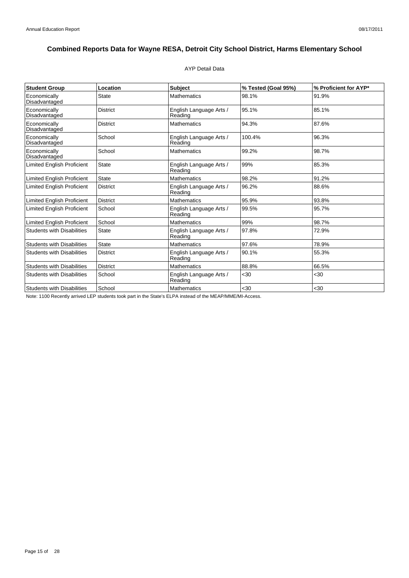### AYP Detail Data

| <b>Student Group</b>              | Location        | <b>Subject</b>                     | % Tested (Goal 95%) | % Proficient for AYP* |
|-----------------------------------|-----------------|------------------------------------|---------------------|-----------------------|
| Economically<br>Disadvantaged     | <b>State</b>    | <b>Mathematics</b>                 | 98.1%               | 91.9%                 |
| Economically<br>Disadvantaged     | <b>District</b> | English Language Arts /<br>Reading | 95.1%               | 85.1%                 |
| Economically<br>Disadvantaged     | <b>District</b> | <b>Mathematics</b>                 | 94.3%               | 87.6%                 |
| Economically<br>Disadvantaged     | School          | English Language Arts /<br>Reading | 100.4%              | 96.3%                 |
| Economically<br>Disadvantaged     | School          | <b>Mathematics</b>                 | 99.2%               | 98.7%                 |
| <b>Limited English Proficient</b> | <b>State</b>    | English Language Arts /<br>Reading | 99%                 | 85.3%                 |
| <b>Limited English Proficient</b> | State           | <b>Mathematics</b>                 | 98.2%               | 91.2%                 |
| <b>Limited English Proficient</b> | <b>District</b> | English Language Arts /<br>Reading | 96.2%               | 88.6%                 |
| Limited English Proficient        | <b>District</b> | <b>Mathematics</b>                 | 95.9%               | 93.8%                 |
| <b>Limited English Proficient</b> | School          | English Language Arts /<br>Reading | 99.5%               | 95.7%                 |
| Limited English Proficient        | School          | <b>Mathematics</b>                 | 99%                 | 98.7%                 |
| <b>Students with Disabilities</b> | State           | English Language Arts /<br>Reading | 97.8%               | 72.9%                 |
| <b>Students with Disabilities</b> | <b>State</b>    | <b>Mathematics</b>                 | 97.6%               | 78.9%                 |
| <b>Students with Disabilities</b> | <b>District</b> | English Language Arts /<br>Reading | 90.1%               | 55.3%                 |
| <b>Students with Disabilities</b> | <b>District</b> | <b>Mathematics</b>                 | 88.8%               | 66.5%                 |
| <b>Students with Disabilities</b> | School          | English Language Arts /<br>Reading | $30$                | $30$                  |
| <b>Students with Disabilities</b> | School          | <b>Mathematics</b>                 | $30$                | $30$                  |

Note: 1100 Recently arrived LEP students took part in the State's ELPA instead of the MEAP/MME/MI-Access.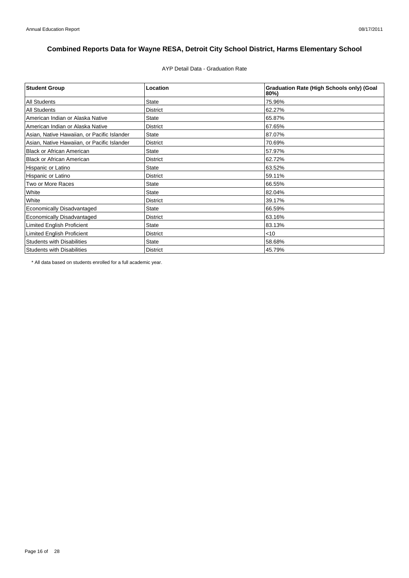AYP Detail Data - Graduation Rate

| <b>Student Group</b>                        | Location        | <b>Graduation Rate (High Schools only) (Goal</b><br>80%) |
|---------------------------------------------|-----------------|----------------------------------------------------------|
| <b>All Students</b>                         | <b>State</b>    | 75.96%                                                   |
| <b>All Students</b>                         | <b>District</b> | 62.27%                                                   |
| American Indian or Alaska Native            | <b>State</b>    | 65.87%                                                   |
| American Indian or Alaska Native            | <b>District</b> | 67.65%                                                   |
| Asian, Native Hawaiian, or Pacific Islander | <b>State</b>    | 87.07%                                                   |
| Asian, Native Hawaiian, or Pacific Islander | <b>District</b> | 70.69%                                                   |
| <b>Black or African American</b>            | <b>State</b>    | 57.97%                                                   |
| <b>Black or African American</b>            | <b>District</b> | 62.72%                                                   |
| Hispanic or Latino                          | <b>State</b>    | 63.52%                                                   |
| Hispanic or Latino                          | <b>District</b> | 59.11%                                                   |
| Two or More Races                           | <b>State</b>    | 66.55%                                                   |
| White                                       | <b>State</b>    | 82.04%                                                   |
| White                                       | <b>District</b> | 39.17%                                                   |
| Economically Disadvantaged                  | <b>State</b>    | 66.59%                                                   |
| <b>Economically Disadvantaged</b>           | <b>District</b> | 63.16%                                                   |
| <b>Limited English Proficient</b>           | <b>State</b>    | 83.13%                                                   |
| Limited English Proficient                  | <b>District</b> | $<$ 10                                                   |
| <b>Students with Disabilities</b>           | <b>State</b>    | 58.68%                                                   |
| <b>Students with Disabilities</b>           | <b>District</b> | 45.79%                                                   |

\* All data based on students enrolled for a full academic year.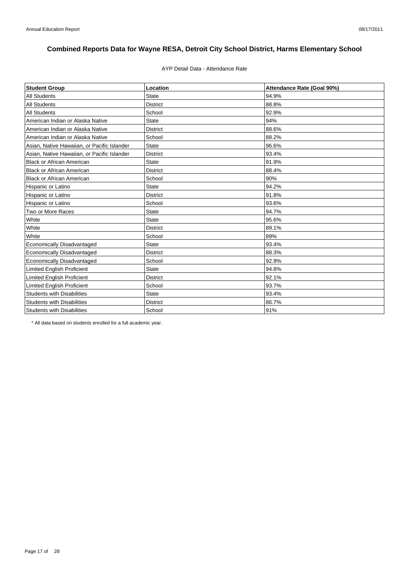# AYP Detail Data - Attendance Rate

| <b>Student Group</b>                        | Location        | Attendance Rate (Goal 90%) |
|---------------------------------------------|-----------------|----------------------------|
| <b>All Students</b>                         | <b>State</b>    | 94.9%                      |
| <b>All Students</b>                         | <b>District</b> | 88.8%                      |
| <b>All Students</b>                         | School          | 92.9%                      |
| American Indian or Alaska Native            | <b>State</b>    | 94%                        |
| American Indian or Alaska Native            | <b>District</b> | 88.6%                      |
| American Indian or Alaska Native            | School          | 88.2%                      |
| Asian, Native Hawaiian, or Pacific Islander | <b>State</b>    | 96.6%                      |
| Asian, Native Hawaiian, or Pacific Islander | <b>District</b> | 93.4%                      |
| <b>Black or African American</b>            | <b>State</b>    | 91.9%                      |
| <b>Black or African American</b>            | District        | 88.4%                      |
| <b>Black or African American</b>            | School          | 90%                        |
| Hispanic or Latino                          | <b>State</b>    | 94.2%                      |
| Hispanic or Latino                          | <b>District</b> | 91.8%                      |
| Hispanic or Latino                          | School          | 93.6%                      |
| Two or More Races                           | <b>State</b>    | 94.7%                      |
| White                                       | <b>State</b>    | 95.6%                      |
| White                                       | <b>District</b> | 89.1%                      |
| White                                       | School          | 89%                        |
| <b>Economically Disadvantaged</b>           | <b>State</b>    | 93.4%                      |
| Economically Disadvantaged                  | <b>District</b> | 88.3%                      |
| <b>Economically Disadvantaged</b>           | School          | 92.9%                      |
| <b>Limited English Proficient</b>           | <b>State</b>    | 94.8%                      |
| <b>Limited English Proficient</b>           | <b>District</b> | 92.1%                      |
| <b>Limited English Proficient</b>           | School          | 93.7%                      |
| <b>Students with Disabilities</b>           | <b>State</b>    | 93.4%                      |
| <b>Students with Disabilities</b>           | <b>District</b> | 86.7%                      |
| <b>Students with Disabilities</b>           | School          | 91%                        |

\* All data based on students enrolled for a full academic year.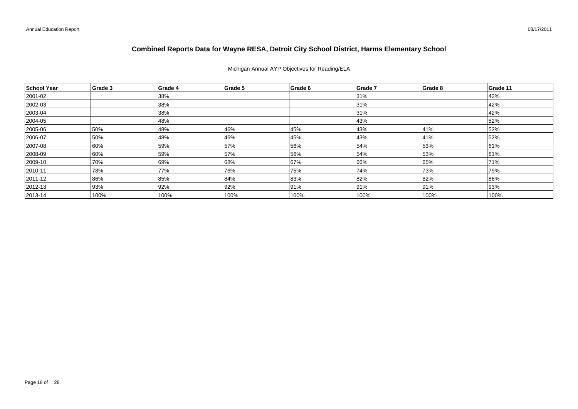Michigan Annual AYP Objectives for Reading/ELA

| School Year   | Grade 3 | Grade 4 | Grade 5 | Grade 6 | Grade 7 | Grade 8 | Grade 11 |
|---------------|---------|---------|---------|---------|---------|---------|----------|
| 2001-02       |         | 38%     |         |         | 31%     |         | 42%      |
| 2002-03       |         | 38%     |         |         | 31%     |         | 42%      |
| 2003-04       |         | 38%     |         |         | 31%     |         | 42%      |
| 2004-05       |         | 48%     |         |         | 43%     |         | 52%      |
| 2005-06       | 50%     | 48%     | 46%     | 45%     | 43%     | 41%     | 52%      |
| 2006-07       | 50%     | 48%     | 46%     | 45%     | 43%     | 41%     | 52%      |
| 2007-08       | 60%     | 59%     | 57%     | 56%     | 54%     | 53%     | 61%      |
| 2008-09       | 60%     | 59%     | 57%     | 56%     | 54%     | 53%     | 61%      |
| 2009-10       | 70%     | 69%     | 68%     | 67%     | 66%     | 65%     | 71%      |
| $ 2010 - 11$  | 78%     | 77%     | 76%     | 75%     | 74%     | 73%     | 79%      |
| $ 2011 - 12 $ | 86%     | 85%     | 84%     | 83%     | 82%     | 82%     | 86%      |
| $ 2012 - 13 $ | 93%     | 92%     | 92%     | 91%     | 91%     | 91%     | 93%      |
| $ 2013 - 14 $ | 100%    | 100%    | 100%    | 100%    | 100%    | 100%    | 100%     |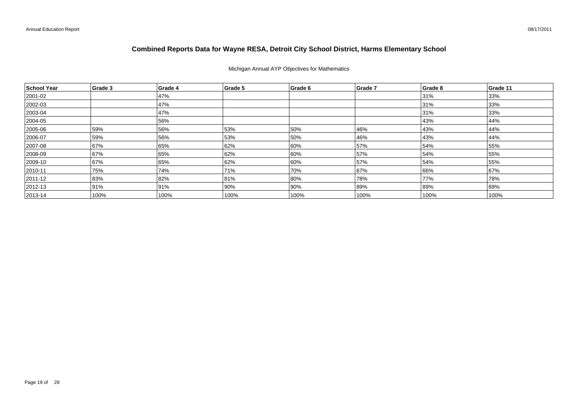#### Michigan Annual AYP Objectives for Mathematics

| School Year  | Grade 3 | Grade 4 | Grade 5 | Grade 6 | Grade 7 | Grade 8 | Grade 11 |
|--------------|---------|---------|---------|---------|---------|---------|----------|
| 2001-02      |         | 47%     |         |         |         | 31%     | 33%      |
| 2002-03      |         | 47%     |         |         |         | 31%     | 33%      |
| $ 2003 - 04$ |         | 47%     |         |         |         | 31%     | 33%      |
| 2004-05      |         | 56%     |         |         |         | 43%     | 44%      |
| 2005-06      | 59%     | 56%     | 53%     | 50%     | 46%     | 43%     | 44%      |
| 2006-07      | 59%     | 56%     | 53%     | 50%     | 46%     | 43%     | 44%      |
| 2007-08      | 67%     | 65%     | 62%     | 60%     | 57%     | 54%     | 55%      |
| 2008-09      | 67%     | 65%     | 62%     | 60%     | 57%     | 54%     | 55%      |
| 2009-10      | 67%     | 65%     | 62%     | 60%     | 57%     | 54%     | 55%      |
| $ 2010 - 11$ | 75%     | 74%     | 71%     | 70%     | 67%     | 66%     | 67%      |
| 2011-12      | 83%     | 82%     | 81%     | 80%     | 78%     | 77%     | 78%      |
| $ 2012 - 13$ | 91%     | 91%     | 90%     | 90%     | 89%     | 89%     | 89%      |
| $ 2013 - 14$ | 100%    | 100%    | 100%    | 100%    | 100%    | 100%    | 100%     |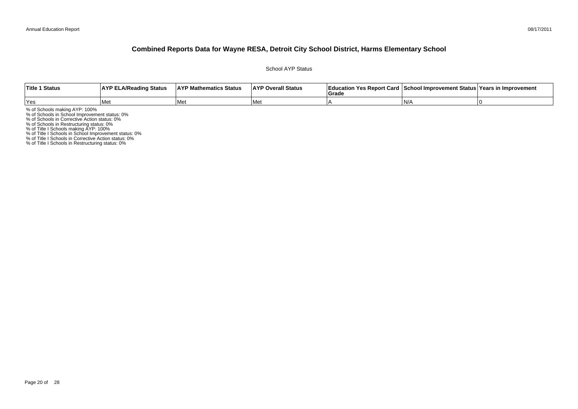#### 08/17/2011

### **Combined Reports Data for Wayne RESA, Detroit City School District, Harms Elementary School**

School AYP Status

| Title 1 Status | <b>AYP ELA/Reading Status</b> | <b>AYP Mathematics Status</b> | <b>AYP Overall Status</b> | াEducation Yes Report Card ⊺School Improvement Status Years in Improvement<br>Grade |       |  |
|----------------|-------------------------------|-------------------------------|---------------------------|-------------------------------------------------------------------------------------|-------|--|
| 'Yes           | Me                            | <b>Met</b>                    | l Met                     |                                                                                     | ı N// |  |

% of Schools making AYP: 100%<br>% of Schools in School Improvement status: 0%<br>% of Schools in Corrective Action status: 0%<br>% of Schools in Restructuring status: 0%<br>% of Title I Schools in School Improvement status: 0%<br>% of T

% of Title I Schools in Restructuring status: 0%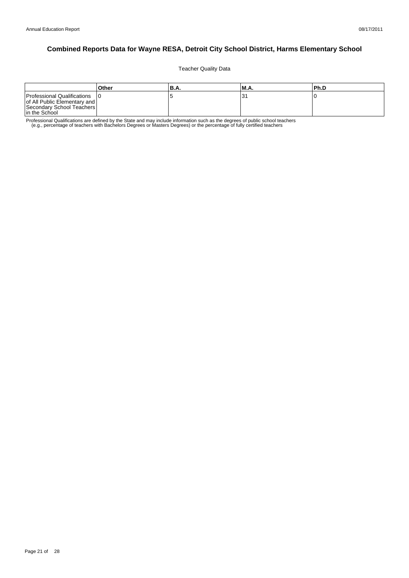Teacher Quality Data

|                                                                                                           | Other | 'B.A. | 'M.A. | l Ph.D |
|-----------------------------------------------------------------------------------------------------------|-------|-------|-------|--------|
| Professional Qualifications<br>of All Public Elementary and<br>Secondary School Teachers<br>In the School |       |       |       |        |

Professional Qualifications are defined by the State and may include information such as the degrees of public school teachers<br>e.g., percentage of teachers with Bachelors Degrees or Masters Degrees) or the percentage of fu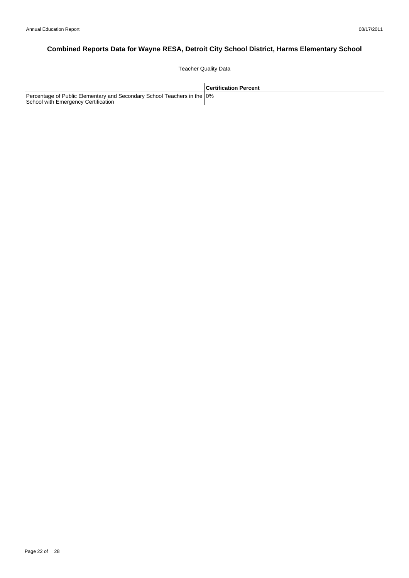Teacher Quality Data

|                                                                                                                 | <b>Certification Percent</b> |
|-----------------------------------------------------------------------------------------------------------------|------------------------------|
| Percentage of Public Elementary and Secondary School Teachers in the 10%<br>School with Emergency Certification |                              |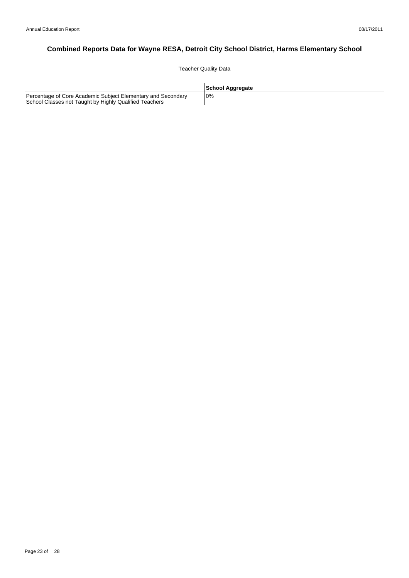Teacher Quality Data

|                                                                                                                        | School Aggregate |
|------------------------------------------------------------------------------------------------------------------------|------------------|
| Percentage of Core Academic Subject Elementary and Secondary<br>School Classes not Taught by Highly Qualified Teachers | 0%               |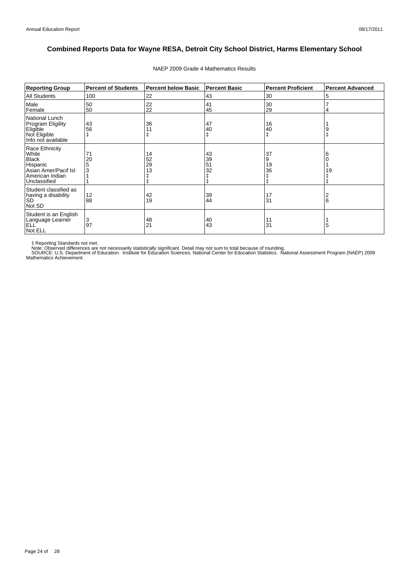| <b>Reporting Group</b>                                                                                         | <b>Percent of Students</b> | <b>Percent below Basic</b> | <b>Percent Basic</b> | <b>Percent Proficient</b>         | <b>Percent Advanced</b> |
|----------------------------------------------------------------------------------------------------------------|----------------------------|----------------------------|----------------------|-----------------------------------|-------------------------|
| <b>All Students</b>                                                                                            | 100                        | 22                         | 43                   | 30                                | 5                       |
| Male<br>Female                                                                                                 | 50<br>50                   | 22<br>22                   | 41<br>45             | 30<br>29                          | 4                       |
| National Lunch<br><b>Program Eligility</b><br>Eligible<br>Not Eligible<br>Info not available                   | 43<br>56                   | 36<br>11                   | 47<br>40             | 16<br>40                          |                         |
| Race Ethnicity<br>White<br><b>Black</b><br>Hispanic<br>Asian Amer/Pacif Isl<br>American Indian<br>Unclassified | 71<br>20                   | 14<br>52<br>29<br>13       | 43<br>39<br>51<br>32 | 37<br>9<br>19<br>36<br>$\ddagger$ | 6<br>19                 |
| Student classified as<br>having a disability<br><b>SD</b><br>Not SD                                            | 12<br>88                   | 42<br>19                   | 39<br>44             | 17<br>31                          | 6                       |
| Student is an English<br>Language Learner<br><b>ELL</b><br>Not ELL                                             | 3<br>97                    | 48<br>21                   | 40<br>43             | 11<br>31                          | 5                       |

NAEP 2009 Grade 4 Mathematics Results

‡ Reporting Standards not met.<br>Note: Observed differences are not necessarily statistically significant. Detail may not sum to total because of rounding.<br>SOURCE: U.S. Department of Education. Institute for Education Scien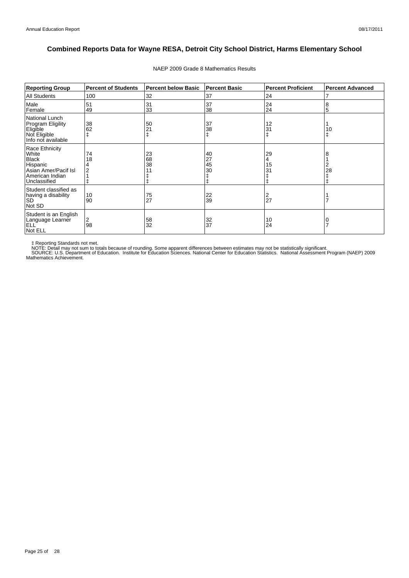| <b>Reporting Group</b>                                                                                         | <b>Percent of Students</b> | <b>Percent below Basic</b> | <b>Percent Basic</b> | <b>Percent Proficient</b> | <b>Percent Advanced</b> |
|----------------------------------------------------------------------------------------------------------------|----------------------------|----------------------------|----------------------|---------------------------|-------------------------|
| <b>All Students</b>                                                                                            | 100                        | 32                         | 37                   | 24                        | 7                       |
| Male<br>Female                                                                                                 | 51<br>49                   | 31<br>33                   | 37<br>38             | 24<br>24                  | 8<br>5                  |
| National Lunch<br>Program Eligility<br>Eligible<br>Not Eligible<br>Info not available                          | 38<br>62                   | 50<br>21                   | 37<br>38<br>ŧ        | 12<br>31                  | 10                      |
| Race Ethnicity<br>White<br><b>Black</b><br>Hispanic<br>Asian Amer/Pacif Isl<br>American Indian<br>Unclassified | 74<br>18                   | 23<br>68<br>38<br>11       | 40<br>27<br>45<br>30 | 29<br>4<br>15<br>31       | 8<br>2<br>28            |
| Student classified as<br>having a disability<br><b>SD</b><br>Not SD                                            | 10<br>90                   | 75<br>27                   | 22<br>39             | 27                        |                         |
| Student is an English<br>Language Learner<br>ELL <sup>'</sup><br>Not ELL                                       | 2<br>98                    | 58<br>32                   | 32<br>37             | 10<br>24                  |                         |

#### NAEP 2009 Grade 8 Mathematics Results

‡ Reporting Standards not met.<br>NOTE: Detail may not sum to totals because of rounding. Some apparent differences between estimates may not be statistically significant.<br>NOTE: Detail may not sum to totals because of roundin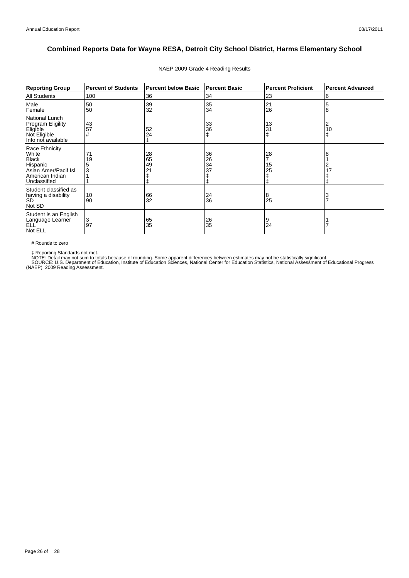| <b>Reporting Group</b>                                                                                         | <b>Percent of Students</b> | <b>Percent below Basic</b>        | <b>Percent Basic</b> | <b>Percent Proficient</b> | <b>Percent Advanced</b> |
|----------------------------------------------------------------------------------------------------------------|----------------------------|-----------------------------------|----------------------|---------------------------|-------------------------|
| All Students                                                                                                   | 100                        | 36                                | 34                   | 23                        | 6                       |
| Male<br>Female                                                                                                 | 50<br>50                   | 39<br>32                          | 35<br>34             | 21<br>26                  | 5<br>8                  |
| National Lunch<br>Program Eligility<br>Eligible<br>Not Eligible<br>Info not available                          | 43<br>57<br>#              | 52<br>24                          | 33<br>36<br>ŧ        | 13<br>31<br>ŧ             | 2<br>10                 |
| Race Ethnicity<br>White<br><b>Black</b><br>Hispanic<br>Asian Amer/Pacif Isl<br>American Indian<br>Unclassified | 71<br>19                   | 28<br>$\overline{65}$<br>49<br>21 | 36<br>26<br>34<br>37 | 28<br>15<br>25            |                         |
| Student classified as<br>having a disability<br><b>SD</b><br>Not SD                                            | 10<br>90                   | 66<br>32                          | 24<br>36             | 8<br>25                   |                         |
| Student is an English<br>Language Learner<br>ELL <sup>'</sup><br>Not ELL                                       | 3<br>97                    | 65<br>35                          | 26<br>35             | 9<br>24                   |                         |

#### NAEP 2009 Grade 4 Reading Results

# Rounds to zero

‡ Reporting Standards not met.<br>NOTE: Detail may not sum to totals because of rounding. Some apparent differences between estimates may not be statistically significant.<br>SOURCE: U.S. Department of Education, Institute of Ed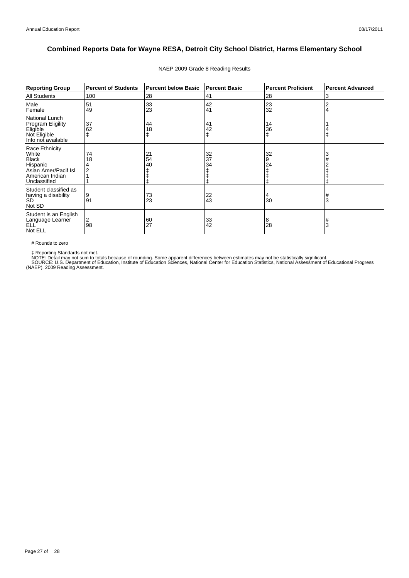| <b>Reporting Group</b>                                                                                         | <b>Percent of Students</b> | <b>Percent below Basic</b> | <b>Percent Basic</b> | <b>Percent Proficient</b> | <b>Percent Advanced</b> |
|----------------------------------------------------------------------------------------------------------------|----------------------------|----------------------------|----------------------|---------------------------|-------------------------|
| <b>All Students</b>                                                                                            | 100                        | 28                         | 41                   | 28                        | 3                       |
| Male<br>Female                                                                                                 | 51<br>49                   | 33<br>23                   | 42<br>41             | 23<br>32                  | $\overline{2}$<br>4     |
| National Lunch<br><b>Program Eligility</b><br>Eligible<br>Not Eligible<br>Info not available                   | 37<br>62                   | 44<br>18                   | 41<br>42<br>ŧ        | 14<br>36<br>ŧ             |                         |
| Race Ethnicity<br>White<br><b>Black</b><br>Hispanic<br>Asian Amer/Pacif Isl<br>American Indian<br>Unclassified | 74<br>18                   | 21<br>54<br>40             | 32<br>37<br>34       | 32<br>9<br>24             | 3                       |
| Student classified as<br>having a disability<br><b>SD</b><br>Not SD                                            | 9<br>91                    | 73<br>23                   | 22<br>43             | 30                        | #<br>3                  |
| Student is an English<br>Language Learner<br>ELL <sup>'</sup><br>Not ELL                                       | 2<br>98                    | 60<br>27                   | 33<br>42             | 8<br>28                   | #<br>3                  |

#### NAEP 2009 Grade 8 Reading Results

# Rounds to zero

‡ Reporting Standards not met.<br>NOTE: Detail may not sum to totals because of rounding. Some apparent differences between estimates may not be statistically significant.<br>SOURCE: U.S. Department of Education, Institute of Ed